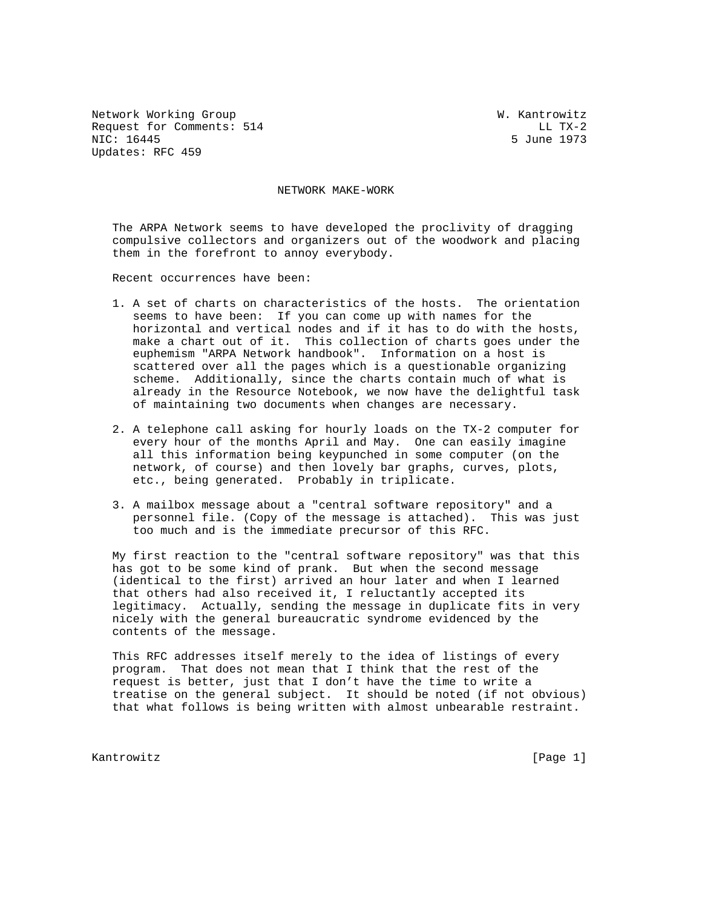Network Working Group W. Kantrowitz Request for Comments: 514 LL TX-2<br>NIC: 16445 Sune 1973 Updates: RFC 459

5 June 1973

NETWORK MAKE-WORK

 The ARPA Network seems to have developed the proclivity of dragging compulsive collectors and organizers out of the woodwork and placing them in the forefront to annoy everybody.

Recent occurrences have been:

- 1. A set of charts on characteristics of the hosts. The orientation seems to have been: If you can come up with names for the horizontal and vertical nodes and if it has to do with the hosts, make a chart out of it. This collection of charts goes under the euphemism "ARPA Network handbook". Information on a host is scattered over all the pages which is a questionable organizing scheme. Additionally, since the charts contain much of what is already in the Resource Notebook, we now have the delightful task of maintaining two documents when changes are necessary.
- 2. A telephone call asking for hourly loads on the TX-2 computer for every hour of the months April and May. One can easily imagine all this information being keypunched in some computer (on the network, of course) and then lovely bar graphs, curves, plots, etc., being generated. Probably in triplicate.
- 3. A mailbox message about a "central software repository" and a personnel file. (Copy of the message is attached). This was just too much and is the immediate precursor of this RFC.

 My first reaction to the "central software repository" was that this has got to be some kind of prank. But when the second message (identical to the first) arrived an hour later and when I learned that others had also received it, I reluctantly accepted its legitimacy. Actually, sending the message in duplicate fits in very nicely with the general bureaucratic syndrome evidenced by the contents of the message.

 This RFC addresses itself merely to the idea of listings of every program. That does not mean that I think that the rest of the request is better, just that I don't have the time to write a treatise on the general subject. It should be noted (if not obvious) that what follows is being written with almost unbearable restraint.

Kantrowitz [Page 1]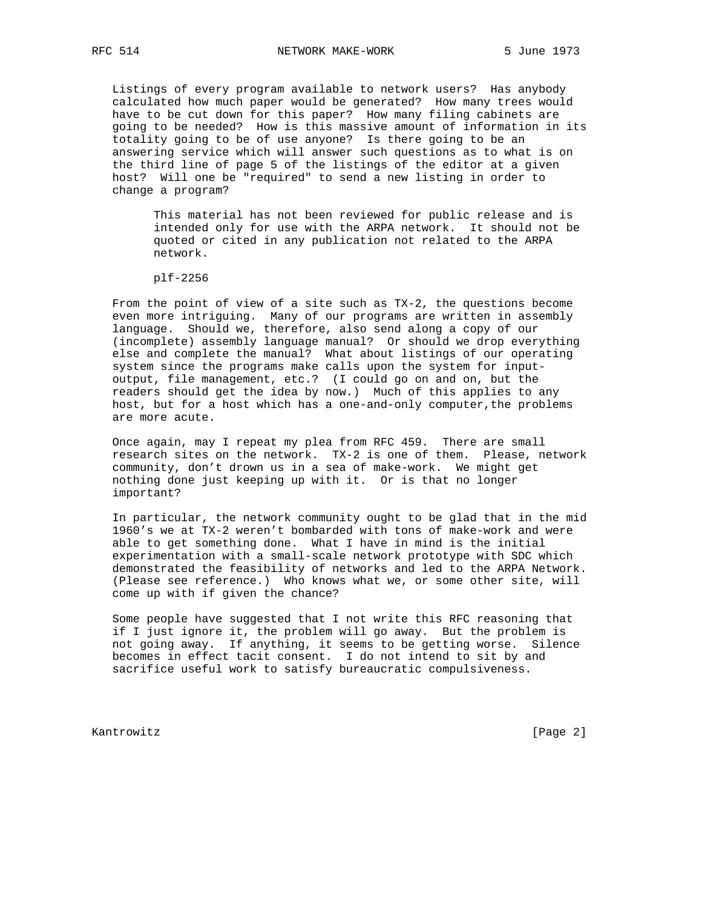Listings of every program available to network users? Has anybody calculated how much paper would be generated? How many trees would have to be cut down for this paper? How many filing cabinets are going to be needed? How is this massive amount of information in its totality going to be of use anyone? Is there going to be an answering service which will answer such questions as to what is on the third line of page 5 of the listings of the editor at a given host? Will one be "required" to send a new listing in order to change a program?

 This material has not been reviewed for public release and is intended only for use with the ARPA network. It should not be quoted or cited in any publication not related to the ARPA network.

plf-2256

 From the point of view of a site such as TX-2, the questions become even more intriguing. Many of our programs are written in assembly language. Should we, therefore, also send along a copy of our (incomplete) assembly language manual? Or should we drop everything else and complete the manual? What about listings of our operating system since the programs make calls upon the system for input output, file management, etc.? (I could go on and on, but the readers should get the idea by now.) Much of this applies to any host, but for a host which has a one-and-only computer,the problems are more acute.

 Once again, may I repeat my plea from RFC 459. There are small research sites on the network. TX-2 is one of them. Please, network community, don't drown us in a sea of make-work. We might get nothing done just keeping up with it. Or is that no longer important?

 In particular, the network community ought to be glad that in the mid 1960's we at TX-2 weren't bombarded with tons of make-work and were able to get something done. What I have in mind is the initial experimentation with a small-scale network prototype with SDC which demonstrated the feasibility of networks and led to the ARPA Network. (Please see reference.) Who knows what we, or some other site, will come up with if given the chance?

 Some people have suggested that I not write this RFC reasoning that if I just ignore it, the problem will go away. But the problem is not going away. If anything, it seems to be getting worse. Silence becomes in effect tacit consent. I do not intend to sit by and sacrifice useful work to satisfy bureaucratic compulsiveness.

Kantrowitz [Page 2]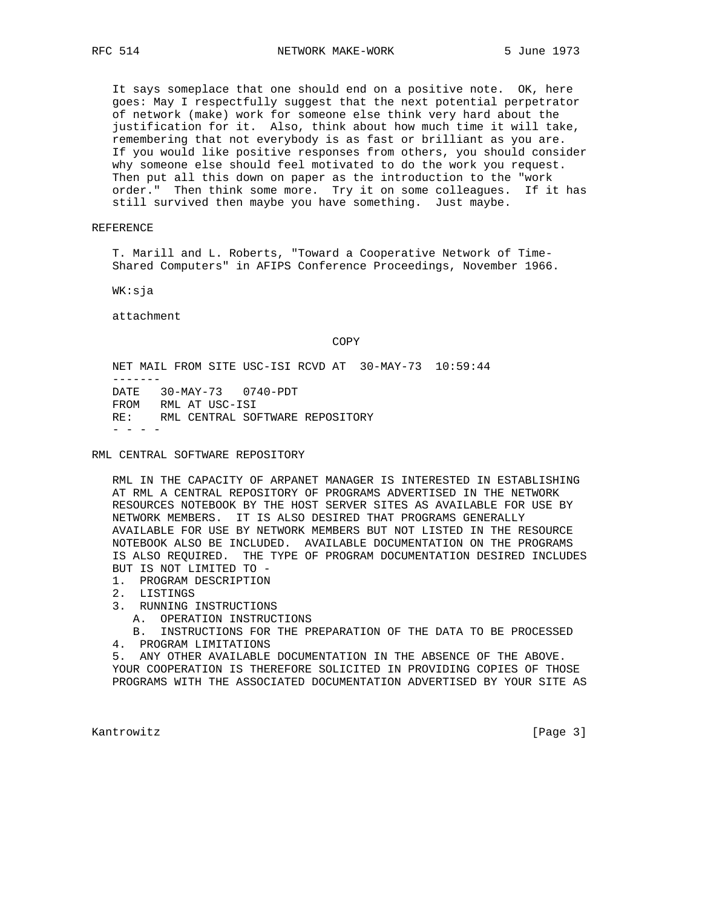It says someplace that one should end on a positive note. OK, here goes: May I respectfully suggest that the next potential perpetrator of network (make) work for someone else think very hard about the justification for it. Also, think about how much time it will take, remembering that not everybody is as fast or brilliant as you are. If you would like positive responses from others, you should consider why someone else should feel motivated to do the work you request. Then put all this down on paper as the introduction to the "work order." Then think some more. Try it on some colleagues. If it has still survived then maybe you have something. Just maybe.

REFERENCE

 T. Marill and L. Roberts, "Toward a Cooperative Network of Time- Shared Computers" in AFIPS Conference Proceedings, November 1966.

WK:sja

attachment

**COPY** 

 NET MAIL FROM SITE USC-ISI RCVD AT 30-MAY-73 10:59:44 ------- DATE 30-MAY-73 0740-PDT FROM RML AT USC-ISI RE: RML CENTRAL SOFTWARE REPOSITORY  $-$ 

RML CENTRAL SOFTWARE REPOSITORY

 RML IN THE CAPACITY OF ARPANET MANAGER IS INTERESTED IN ESTABLISHING AT RML A CENTRAL REPOSITORY OF PROGRAMS ADVERTISED IN THE NETWORK RESOURCES NOTEBOOK BY THE HOST SERVER SITES AS AVAILABLE FOR USE BY NETWORK MEMBERS. IT IS ALSO DESIRED THAT PROGRAMS GENERALLY AVAILABLE FOR USE BY NETWORK MEMBERS BUT NOT LISTED IN THE RESOURCE NOTEBOOK ALSO BE INCLUDED. AVAILABLE DOCUMENTATION ON THE PROGRAMS IS ALSO REQUIRED. THE TYPE OF PROGRAM DOCUMENTATION DESIRED INCLUDES BUT IS NOT LIMITED TO -

1. PROGRAM DESCRIPTION

- 2. LISTINGS
- 3. RUNNING INSTRUCTIONS
	- A. OPERATION INSTRUCTIONS
	- B. INSTRUCTIONS FOR THE PREPARATION OF THE DATA TO BE PROCESSED
- 4. PROGRAM LIMITATIONS

 5. ANY OTHER AVAILABLE DOCUMENTATION IN THE ABSENCE OF THE ABOVE. YOUR COOPERATION IS THEREFORE SOLICITED IN PROVIDING COPIES OF THOSE PROGRAMS WITH THE ASSOCIATED DOCUMENTATION ADVERTISED BY YOUR SITE AS

Kantrowitz [Page 3]